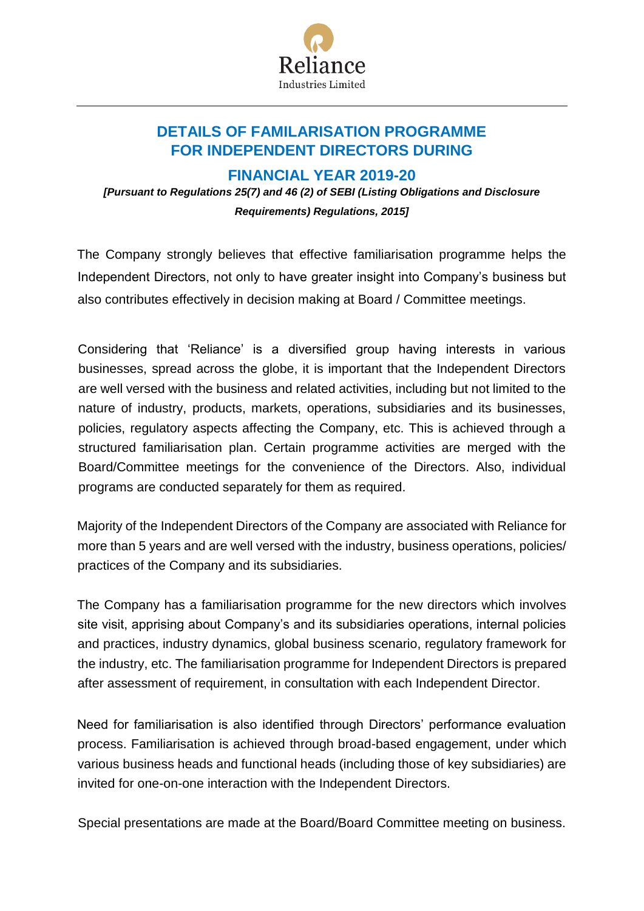

## **DETAILS OF FAMILARISATION PROGRAMME FOR INDEPENDENT DIRECTORS DURING**

**FINANCIAL YEAR 2019-20**

*[Pursuant to Regulations 25(7) and 46 (2) of SEBI (Listing Obligations and Disclosure Requirements) Regulations, 2015]* 

The Company strongly believes that effective familiarisation programme helps the Independent Directors, not only to have greater insight into Company's business but also contributes effectively in decision making at Board / Committee meetings.

Considering that 'Reliance' is a diversified group having interests in various businesses, spread across the globe, it is important that the Independent Directors are well versed with the business and related activities, including but not limited to the nature of industry, products, markets, operations, subsidiaries and its businesses, policies, regulatory aspects affecting the Company, etc. This is achieved through a structured familiarisation plan. Certain programme activities are merged with the Board/Committee meetings for the convenience of the Directors. Also, individual programs are conducted separately for them as required.

Majority of the Independent Directors of the Company are associated with Reliance for more than 5 years and are well versed with the industry, business operations, policies/ practices of the Company and its subsidiaries.

The Company has a familiarisation programme for the new directors which involves site visit, apprising about Company's and its subsidiaries operations, internal policies and practices, industry dynamics, global business scenario, regulatory framework for the industry, etc. The familiarisation programme for Independent Directors is prepared after assessment of requirement, in consultation with each Independent Director.

Need for familiarisation is also identified through Directors' performance evaluation process. Familiarisation is achieved through broad-based engagement, under which various business heads and functional heads (including those of key subsidiaries) are invited for one-on-one interaction with the Independent Directors.

Special presentations are made at the Board/Board Committee meeting on business.